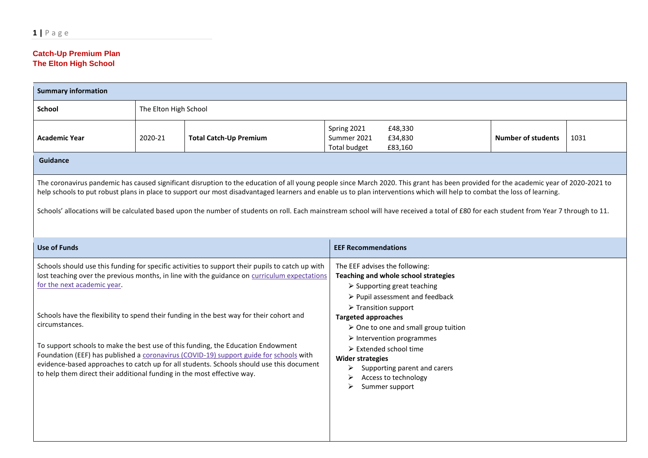## **Catch-Up Premium Plan The Elton High School**

| <b>Summary information</b>                                                                                                                                                                                                                                                                                                                                                                                                                                                                                                                                                                                                                                                                                                                                                                                                                                                                                                                                                                                                                                                                                                                                                                              |                       |                               |                                                   |                               |                           |      |  |
|---------------------------------------------------------------------------------------------------------------------------------------------------------------------------------------------------------------------------------------------------------------------------------------------------------------------------------------------------------------------------------------------------------------------------------------------------------------------------------------------------------------------------------------------------------------------------------------------------------------------------------------------------------------------------------------------------------------------------------------------------------------------------------------------------------------------------------------------------------------------------------------------------------------------------------------------------------------------------------------------------------------------------------------------------------------------------------------------------------------------------------------------------------------------------------------------------------|-----------------------|-------------------------------|---------------------------------------------------|-------------------------------|---------------------------|------|--|
| School                                                                                                                                                                                                                                                                                                                                                                                                                                                                                                                                                                                                                                                                                                                                                                                                                                                                                                                                                                                                                                                                                                                                                                                                  | The Elton High School |                               |                                                   |                               |                           |      |  |
| <b>Academic Year</b>                                                                                                                                                                                                                                                                                                                                                                                                                                                                                                                                                                                                                                                                                                                                                                                                                                                                                                                                                                                                                                                                                                                                                                                    | 2020-21               | <b>Total Catch-Up Premium</b> | Spring 2021<br>Summer 2021<br><b>Total budget</b> | £48,330<br>£34,830<br>£83,160 | <b>Number of students</b> | 1031 |  |
| <b>Guidance</b>                                                                                                                                                                                                                                                                                                                                                                                                                                                                                                                                                                                                                                                                                                                                                                                                                                                                                                                                                                                                                                                                                                                                                                                         |                       |                               |                                                   |                               |                           |      |  |
| The coronavirus pandemic has caused significant disruption to the education of all young people since March 2020. This grant has been provided for the academic year of 2020-2021 to<br>help schools to put robust plans in place to support our most disadvantaged learners and enable us to plan interventions which will help to combat the loss of learning.<br>Schools' allocations will be calculated based upon the number of students on roll. Each mainstream school will have received a total of £80 for each student from Year 7 through to 11.                                                                                                                                                                                                                                                                                                                                                                                                                                                                                                                                                                                                                                             |                       |                               |                                                   |                               |                           |      |  |
| <b>Use of Funds</b>                                                                                                                                                                                                                                                                                                                                                                                                                                                                                                                                                                                                                                                                                                                                                                                                                                                                                                                                                                                                                                                                                                                                                                                     |                       |                               |                                                   |                               |                           |      |  |
| <b>EEF Recommendations</b><br>Schools should use this funding for specific activities to support their pupils to catch up with<br>The EEF advises the following:<br>lost teaching over the previous months, in line with the guidance on curriculum expectations<br>Teaching and whole school strategies<br>for the next academic year.<br>$\triangleright$ Supporting great teaching<br>▶ Pupil assessment and feedback<br>$\triangleright$ Transition support<br>Schools have the flexibility to spend their funding in the best way for their cohort and<br><b>Targeted approaches</b><br>circumstances.<br>> One to one and small group tuition<br>$\triangleright$ Intervention programmes<br>To support schools to make the best use of this funding, the Education Endowment<br>$\triangleright$ Extended school time<br>Foundation (EEF) has published a coronavirus (COVID-19) support guide for schools with<br><b>Wider strategies</b><br>evidence-based approaches to catch up for all students. Schools should use this document<br>≻<br>Supporting parent and carers<br>to help them direct their additional funding in the most effective way.<br>Access to technology<br>Summer support |                       |                               |                                                   |                               |                           |      |  |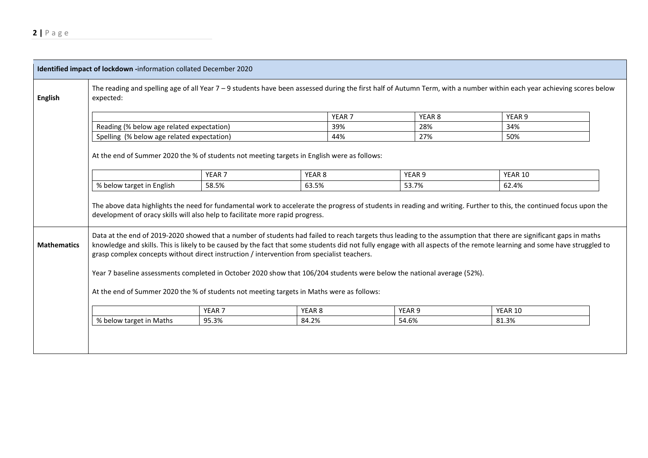| Identified impact of lockdown -information collated December 2020 |                                                                                                                                                                                                                                                                                                                                                                                                                                                                                                                                                                                                                                                                     |                   |                   |                   |                   |  |         |  |
|-------------------------------------------------------------------|---------------------------------------------------------------------------------------------------------------------------------------------------------------------------------------------------------------------------------------------------------------------------------------------------------------------------------------------------------------------------------------------------------------------------------------------------------------------------------------------------------------------------------------------------------------------------------------------------------------------------------------------------------------------|-------------------|-------------------|-------------------|-------------------|--|---------|--|
| English                                                           | The reading and spelling age of all Year 7 - 9 students have been assessed during the first half of Autumn Term, with a number within each year achieving scores below<br>expected:                                                                                                                                                                                                                                                                                                                                                                                                                                                                                 |                   |                   |                   |                   |  |         |  |
|                                                                   |                                                                                                                                                                                                                                                                                                                                                                                                                                                                                                                                                                                                                                                                     |                   |                   | YEAR <sub>7</sub> | YEAR <sub>8</sub> |  | YEAR 9  |  |
|                                                                   | Reading (% below age related expectation)                                                                                                                                                                                                                                                                                                                                                                                                                                                                                                                                                                                                                           |                   |                   | 39%               | 28%               |  | 34%     |  |
|                                                                   | Spelling (% below age related expectation)                                                                                                                                                                                                                                                                                                                                                                                                                                                                                                                                                                                                                          |                   |                   | 44%               | 27%               |  | 50%     |  |
|                                                                   | At the end of Summer 2020 the % of students not meeting targets in English were as follows:<br>YEAR <sub>7</sub><br>YEAR <sub>8</sub><br>YEAR 9<br>YEAR 10                                                                                                                                                                                                                                                                                                                                                                                                                                                                                                          |                   |                   |                   |                   |  |         |  |
|                                                                   | % below target in English                                                                                                                                                                                                                                                                                                                                                                                                                                                                                                                                                                                                                                           | 58.5%             | 63.5%             |                   | 53.7%             |  | 62.4%   |  |
|                                                                   | The above data highlights the need for fundamental work to accelerate the progress of students in reading and writing. Further to this, the continued focus upon the<br>development of oracy skills will also help to facilitate more rapid progress.                                                                                                                                                                                                                                                                                                                                                                                                               |                   |                   |                   |                   |  |         |  |
| <b>Mathematics</b>                                                | Data at the end of 2019-2020 showed that a number of students had failed to reach targets thus leading to the assumption that there are significant gaps in maths<br>knowledge and skills. This is likely to be caused by the fact that some students did not fully engage with all aspects of the remote learning and some have struggled to<br>grasp complex concepts without direct instruction / intervention from specialist teachers.<br>Year 7 baseline assessments completed in October 2020 show that 106/204 students were below the national average (52%).<br>At the end of Summer 2020 the % of students not meeting targets in Maths were as follows: |                   |                   |                   |                   |  |         |  |
|                                                                   |                                                                                                                                                                                                                                                                                                                                                                                                                                                                                                                                                                                                                                                                     | YEAR <sub>7</sub> | YEAR <sub>8</sub> |                   | YEAR <sub>9</sub> |  | YEAR 10 |  |
|                                                                   | % below target in Maths                                                                                                                                                                                                                                                                                                                                                                                                                                                                                                                                                                                                                                             | 95.3%             | 84.2%             |                   | 54.6%             |  | 81.3%   |  |
|                                                                   |                                                                                                                                                                                                                                                                                                                                                                                                                                                                                                                                                                                                                                                                     |                   |                   |                   |                   |  |         |  |
|                                                                   |                                                                                                                                                                                                                                                                                                                                                                                                                                                                                                                                                                                                                                                                     |                   |                   |                   |                   |  |         |  |
|                                                                   |                                                                                                                                                                                                                                                                                                                                                                                                                                                                                                                                                                                                                                                                     |                   |                   |                   |                   |  |         |  |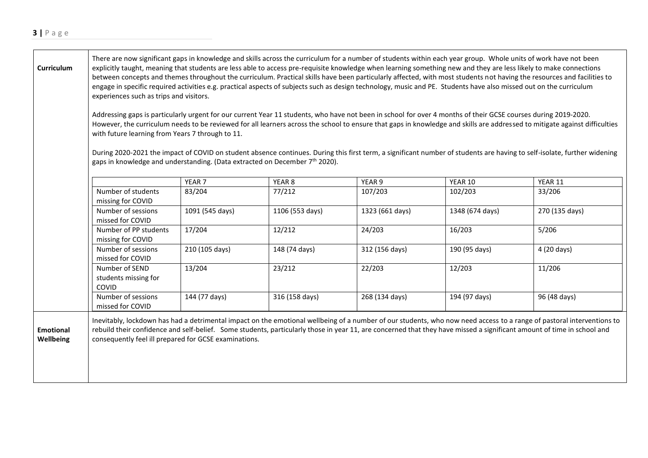| Curriculum                    | There are now significant gaps in knowledge and skills across the curriculum for a number of students within each year group. Whole units of work have not been<br>explicitly taught, meaning that students are less able to access pre-requisite knowledge when learning something new and they are less likely to make connections<br>between concepts and themes throughout the curriculum. Practical skills have been particularly affected, with most students not having the resources and facilities to<br>engage in specific required activities e.g. practical aspects of subjects such as design technology, music and PE. Students have also missed out on the curriculum<br>experiences such as trips and visitors.<br>Addressing gaps is particularly urgent for our current Year 11 students, who have not been in school for over 4 months of their GCSE courses during 2019-2020.<br>However, the curriculum needs to be reviewed for all learners across the school to ensure that gaps in knowledge and skills are addressed to mitigate against difficulties<br>with future learning from Years 7 through to 11.<br>During 2020-2021 the impact of COVID on student absence continues. During this first term, a significant number of students are having to self-isolate, further widening<br>gaps in knowledge and understanding. (Data extracted on December 7 <sup>th</sup> 2020). |                   |                 |                 |                 |                                                                                                                                                                                                                                                                                                                                                 |  |
|-------------------------------|------------------------------------------------------------------------------------------------------------------------------------------------------------------------------------------------------------------------------------------------------------------------------------------------------------------------------------------------------------------------------------------------------------------------------------------------------------------------------------------------------------------------------------------------------------------------------------------------------------------------------------------------------------------------------------------------------------------------------------------------------------------------------------------------------------------------------------------------------------------------------------------------------------------------------------------------------------------------------------------------------------------------------------------------------------------------------------------------------------------------------------------------------------------------------------------------------------------------------------------------------------------------------------------------------------------------------------------------------------------------------------------------------------|-------------------|-----------------|-----------------|-----------------|-------------------------------------------------------------------------------------------------------------------------------------------------------------------------------------------------------------------------------------------------------------------------------------------------------------------------------------------------|--|
|                               |                                                                                                                                                                                                                                                                                                                                                                                                                                                                                                                                                                                                                                                                                                                                                                                                                                                                                                                                                                                                                                                                                                                                                                                                                                                                                                                                                                                                            | YEAR <sub>7</sub> | YEAR 8          | YEAR 9          | YEAR 10         | YEAR 11                                                                                                                                                                                                                                                                                                                                         |  |
|                               | Number of students<br>missing for COVID                                                                                                                                                                                                                                                                                                                                                                                                                                                                                                                                                                                                                                                                                                                                                                                                                                                                                                                                                                                                                                                                                                                                                                                                                                                                                                                                                                    | 83/204            | 77/212          | 107/203         | 102/203         | 33/206                                                                                                                                                                                                                                                                                                                                          |  |
|                               | Number of sessions<br>missed for COVID                                                                                                                                                                                                                                                                                                                                                                                                                                                                                                                                                                                                                                                                                                                                                                                                                                                                                                                                                                                                                                                                                                                                                                                                                                                                                                                                                                     | 1091 (545 days)   | 1106 (553 days) | 1323 (661 days) | 1348 (674 days) | 270 (135 days)                                                                                                                                                                                                                                                                                                                                  |  |
|                               | Number of PP students<br>missing for COVID                                                                                                                                                                                                                                                                                                                                                                                                                                                                                                                                                                                                                                                                                                                                                                                                                                                                                                                                                                                                                                                                                                                                                                                                                                                                                                                                                                 | 17/204            | 12/212          | 24/203          | 16/203          | 5/206                                                                                                                                                                                                                                                                                                                                           |  |
|                               | Number of sessions<br>missed for COVID                                                                                                                                                                                                                                                                                                                                                                                                                                                                                                                                                                                                                                                                                                                                                                                                                                                                                                                                                                                                                                                                                                                                                                                                                                                                                                                                                                     | 210 (105 days)    | 148 (74 days)   | 312 (156 days)  | 190 (95 days)   | 4 (20 days)                                                                                                                                                                                                                                                                                                                                     |  |
|                               | Number of SEND<br>students missing for<br>COVID                                                                                                                                                                                                                                                                                                                                                                                                                                                                                                                                                                                                                                                                                                                                                                                                                                                                                                                                                                                                                                                                                                                                                                                                                                                                                                                                                            | 13/204            | 23/212          | 22/203          | 12/203          | 11/206                                                                                                                                                                                                                                                                                                                                          |  |
|                               | Number of sessions<br>missed for COVID                                                                                                                                                                                                                                                                                                                                                                                                                                                                                                                                                                                                                                                                                                                                                                                                                                                                                                                                                                                                                                                                                                                                                                                                                                                                                                                                                                     | 144 (77 days)     | 316 (158 days)  | 268 (134 days)  | 194 (97 days)   | 96 (48 days)                                                                                                                                                                                                                                                                                                                                    |  |
| <b>Emotional</b><br>Wellbeing | consequently feel ill prepared for GCSE examinations.                                                                                                                                                                                                                                                                                                                                                                                                                                                                                                                                                                                                                                                                                                                                                                                                                                                                                                                                                                                                                                                                                                                                                                                                                                                                                                                                                      |                   |                 |                 |                 | Inevitably, lockdown has had a detrimental impact on the emotional wellbeing of a number of our students, who now need access to a range of pastoral interventions to<br>rebuild their confidence and self-belief. Some students, particularly those in year 11, are concerned that they have missed a significant amount of time in school and |  |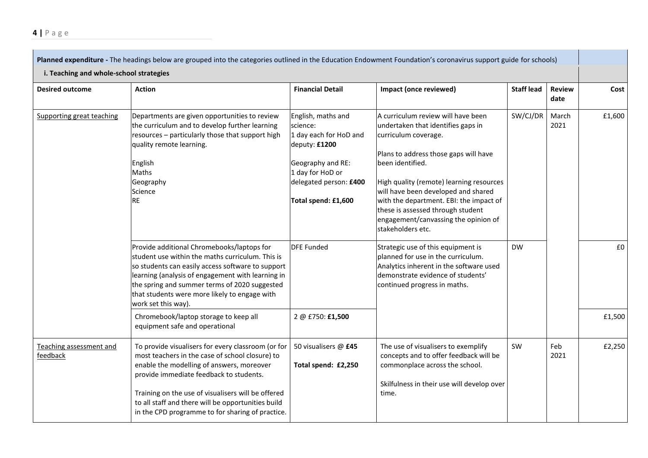| Planned expenditure - The headings below are grouped into the categories outlined in the Education Endowment Foundation's coronavirus support guide for schools)<br>i. Teaching and whole-school strategies |                                                                                                                                                                                                                                                                                                                                                               |                                                                                                                                                                                                                                                                                                                                                                                                                                                                                                                                                                      |                                                                                                                                                                                          |                   |                       |        |  |
|-------------------------------------------------------------------------------------------------------------------------------------------------------------------------------------------------------------|---------------------------------------------------------------------------------------------------------------------------------------------------------------------------------------------------------------------------------------------------------------------------------------------------------------------------------------------------------------|----------------------------------------------------------------------------------------------------------------------------------------------------------------------------------------------------------------------------------------------------------------------------------------------------------------------------------------------------------------------------------------------------------------------------------------------------------------------------------------------------------------------------------------------------------------------|------------------------------------------------------------------------------------------------------------------------------------------------------------------------------------------|-------------------|-----------------------|--------|--|
| <b>Desired outcome</b>                                                                                                                                                                                      | <b>Action</b>                                                                                                                                                                                                                                                                                                                                                 | <b>Financial Detail</b>                                                                                                                                                                                                                                                                                                                                                                                                                                                                                                                                              | Impact (once reviewed)                                                                                                                                                                   | <b>Staff lead</b> | <b>Review</b><br>date | Cost   |  |
| Supporting great teaching                                                                                                                                                                                   | Departments are given opportunities to review<br>the curriculum and to develop further learning<br>resources - particularly those that support high<br>quality remote learning.<br>English<br>Maths<br>Geography<br>Science<br><b>RE</b>                                                                                                                      | English, maths and<br>A curriculum review will have been<br>science:<br>undertaken that identifies gaps in<br>1 day each for HoD and<br>curriculum coverage.<br>deputy: £1200<br>Plans to address those gaps will have<br>Geography and RE:<br>been identified.<br>1 day for HoD or<br>delegated person: £400<br>High quality (remote) learning resources<br>will have been developed and shared<br>Total spend: £1,600<br>with the department. EBI: the impact of<br>these is assessed through student<br>engagement/canvassing the opinion of<br>stakeholders etc. |                                                                                                                                                                                          | SW/CJ/DR          | March<br>2021         | £1,600 |  |
|                                                                                                                                                                                                             | Provide additional Chromebooks/laptops for<br>student use within the maths curriculum. This is<br>so students can easily access software to support<br>learning (analysis of engagement with learning in<br>the spring and summer terms of 2020 suggested<br>that students were more likely to engage with<br>work set this way).                             | <b>DFE Funded</b>                                                                                                                                                                                                                                                                                                                                                                                                                                                                                                                                                    | Strategic use of this equipment is<br>planned for use in the curriculum.<br>Analytics inherent in the software used<br>demonstrate evidence of students'<br>continued progress in maths. | <b>DW</b>         |                       | £0     |  |
|                                                                                                                                                                                                             | Chromebook/laptop storage to keep all<br>equipment safe and operational                                                                                                                                                                                                                                                                                       | 2 @ £750: £1,500                                                                                                                                                                                                                                                                                                                                                                                                                                                                                                                                                     |                                                                                                                                                                                          |                   |                       | £1,500 |  |
| Teaching assessment and<br>feedback                                                                                                                                                                         | To provide visualisers for every classroom (or for<br>most teachers in the case of school closure) to<br>enable the modelling of answers, moreover<br>provide immediate feedback to students.<br>Training on the use of visualisers will be offered<br>to all staff and there will be opportunities build<br>in the CPD programme to for sharing of practice. | 50 visualisers @ £45<br>Total spend: £2,250                                                                                                                                                                                                                                                                                                                                                                                                                                                                                                                          | The use of visualisers to exemplify<br>concepts and to offer feedback will be<br>commonplace across the school.<br>Skilfulness in their use will develop over<br>time.                   | SW                | Feb<br>2021           | £2,250 |  |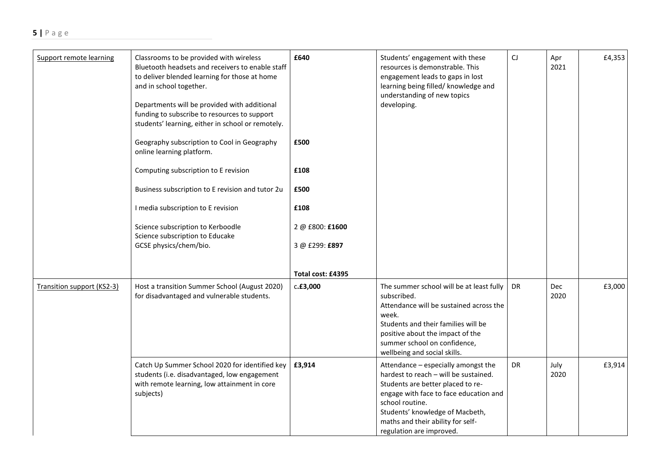| Support remote learning    | Classrooms to be provided with wireless<br>Bluetooth headsets and receivers to enable staff<br>to deliver blended learning for those at home<br>and in school together.<br>Departments will be provided with additional<br>funding to subscribe to resources to support<br>students' learning, either in school or remotely.<br>Geography subscription to Cool in Geography<br>online learning platform.<br>Computing subscription to E revision<br>Business subscription to E revision and tutor 2u<br>I media subscription to E revision<br>Science subscription to Kerboodle<br>Science subscription to Educake<br>GCSE physics/chem/bio. | £640<br>£500<br>£108<br>£500<br>£108<br>2 @ £800: £1600<br>3 @ £299: £897<br>Total cost: £4395 | Students' engagement with these<br>resources is demonstrable. This<br>engagement leads to gaps in lost<br>learning being filled/ knowledge and<br>understanding of new topics<br>developing.                                                                                       | CJ | Apr<br>2021        | £4,353 |
|----------------------------|----------------------------------------------------------------------------------------------------------------------------------------------------------------------------------------------------------------------------------------------------------------------------------------------------------------------------------------------------------------------------------------------------------------------------------------------------------------------------------------------------------------------------------------------------------------------------------------------------------------------------------------------|------------------------------------------------------------------------------------------------|------------------------------------------------------------------------------------------------------------------------------------------------------------------------------------------------------------------------------------------------------------------------------------|----|--------------------|--------|
| Transition support (KS2-3) | Host a transition Summer School (August 2020)<br>for disadvantaged and vulnerable students.                                                                                                                                                                                                                                                                                                                                                                                                                                                                                                                                                  | c.f3,000                                                                                       | The summer school will be at least fully<br>subscribed.<br>Attendance will be sustained across the<br>week.<br>Students and their families will be<br>positive about the impact of the<br>summer school on confidence,<br>wellbeing and social skills.                             | DR | <b>Dec</b><br>2020 | £3,000 |
|                            | Catch Up Summer School 2020 for identified key<br>students (i.e. disadvantaged, low engagement<br>with remote learning, low attainment in core<br>subjects)                                                                                                                                                                                                                                                                                                                                                                                                                                                                                  | £3,914                                                                                         | Attendance - especially amongst the<br>hardest to reach - will be sustained.<br>Students are better placed to re-<br>engage with face to face education and<br>school routine.<br>Students' knowledge of Macbeth,<br>maths and their ability for self-<br>regulation are improved. | DR | July<br>2020       | £3,914 |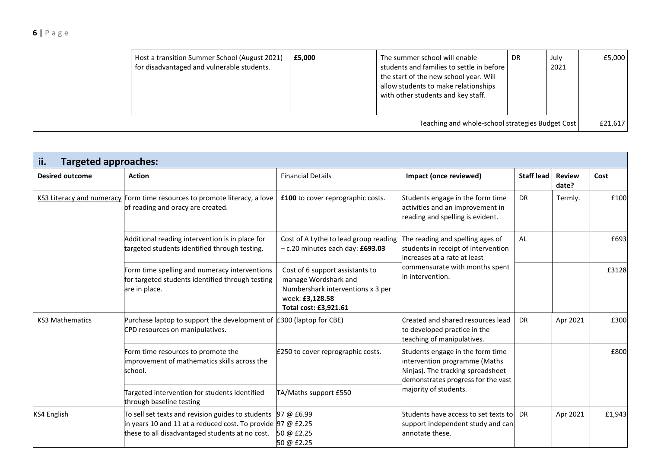## **6 |** P a g e

|                                                  | Host a transition Summer School (August 2021)<br>for disadvantaged and vulnerable students. | £5,000 | The summer school will enable<br>students and families to settle in before<br>the start of the new school year. Will<br>allow students to make relationships<br>with other students and key staff. | DR | July<br>2021 | £5,000 |
|--------------------------------------------------|---------------------------------------------------------------------------------------------|--------|----------------------------------------------------------------------------------------------------------------------------------------------------------------------------------------------------|----|--------------|--------|
| Teaching and whole-school strategies Budget Cost |                                                                                             |        |                                                                                                                                                                                                    |    |              |        |

| ii.<br><b>Targeted approaches:</b> |                                                                                                                                                                                   |                                                                                                                                          |                                                                                                                                              |                   |                        |        |  |  |
|------------------------------------|-----------------------------------------------------------------------------------------------------------------------------------------------------------------------------------|------------------------------------------------------------------------------------------------------------------------------------------|----------------------------------------------------------------------------------------------------------------------------------------------|-------------------|------------------------|--------|--|--|
| <b>Desired outcome</b>             | <b>Action</b>                                                                                                                                                                     | <b>Financial Details</b>                                                                                                                 | Impact (once reviewed)                                                                                                                       | <b>Staff lead</b> | <b>Review</b><br>date? | Cost   |  |  |
|                                    | KS3 Literacy and numeracy Form time resources to promote literacy, a love<br>of reading and oracy are created.                                                                    | £100 to cover reprographic costs.                                                                                                        | Students engage in the form time<br>activities and an improvement in<br>reading and spelling is evident.                                     | <b>DR</b>         | Termly.                | £100   |  |  |
|                                    | Cost of A Lythe to lead group reading<br>Additional reading intervention is in place for<br>targeted students identified through testing.<br>$-$ c.20 minutes each day: $£693.03$ |                                                                                                                                          | The reading and spelling ages of<br>students in receipt of intervention<br>lincreases at a rate at least                                     | AL                |                        | £693   |  |  |
|                                    | Form time spelling and numeracy interventions<br>for targeted students identified through testing<br>are in place.                                                                | Cost of 6 support assistants to<br>manage Wordshark and<br>Numbershark interventions x 3 per<br>week: £3,128.58<br>Total cost: £3,921.61 | commensurate with months spent<br>in intervention.                                                                                           |                   |                        | £3128  |  |  |
| <b>KS3 Mathematics</b>             | Purchase laptop to support the development of $E300$ (laptop for CBE)<br>CPD resources on manipulatives.                                                                          |                                                                                                                                          | Created and shared resources lead<br>to developed practice in the<br>teaching of manipulatives.                                              | <b>DR</b>         | Apr 2021               | £300   |  |  |
|                                    | Form time resources to promote the<br>improvement of mathematics skills across the<br>school.                                                                                     | £250 to cover reprographic costs.                                                                                                        | Students engage in the form time<br>intervention programme (Maths<br>Ninjas). The tracking spreadsheet<br>demonstrates progress for the vast |                   |                        | £800   |  |  |
|                                    | Targeted intervention for students identified<br>through baseline testing                                                                                                         | TA/Maths support £550                                                                                                                    | majority of students.                                                                                                                        |                   |                        |        |  |  |
| <b>KS4 English</b>                 | To sell set texts and revision guides to students<br>in years 10 and 11 at a reduced cost. To provide $97 @ E2.25$<br>these to all disadvantaged students at no cost.             | 97 @ £6.99<br>50 @ £2.25<br>50 @ £2.25                                                                                                   | Students have access to set texts to<br>support independent study and can<br>annotate these.                                                 | DR.               | Apr 2021               | £1,943 |  |  |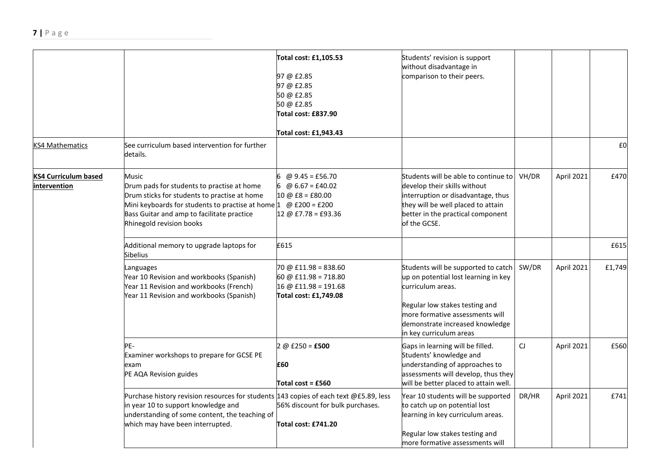|                                      |                                                                                                                                                                                                                                                                              | Total cost: £1,105.53<br>97 @ £2.85<br>97 @ £2.85<br>50 @ £2.85<br>50 @ £2.85<br>Total cost: £837.90<br>Total cost: £1,943.43 | Students' revision is support<br>without disadvantage in<br>comparison to their peers.                                                                                                                |       |            |        |
|--------------------------------------|------------------------------------------------------------------------------------------------------------------------------------------------------------------------------------------------------------------------------------------------------------------------------|-------------------------------------------------------------------------------------------------------------------------------|-------------------------------------------------------------------------------------------------------------------------------------------------------------------------------------------------------|-------|------------|--------|
| KS4 Mathematics                      | See curriculum based intervention for further<br>details.                                                                                                                                                                                                                    |                                                                                                                               |                                                                                                                                                                                                       |       |            | £0     |
| KS4 Curriculum based<br>intervention | Music<br>Drum pads for students to practise at home<br>Drum sticks for students to practise at home<br>Mini keyboards for students to practise at home $1 \quad \omega \text{ f200} = \text{f200}$<br>Bass Guitar and amp to facilitate practice<br>Rhinegold revision books | @ $9.45 = £56.70$<br>$@ 6.67 = £40.02$<br>6<br>$10 \omega$ £8 = £80.00<br>$12 @ E7.78 = E93.36$                               | Students will be able to continue to<br>develop their skills without<br>interruption or disadvantage, thus<br>they will be well placed to attain<br>better in the practical component<br>of the GCSE. | VH/DR | April 2021 | £470   |
|                                      | Additional memory to upgrade laptops for<br><b>Sibelius</b>                                                                                                                                                                                                                  | £615                                                                                                                          |                                                                                                                                                                                                       |       |            | £615   |
|                                      | Languages<br>Year 10 Revision and workbooks (Spanish)<br>Year 11 Revision and workbooks (French)<br>Year 11 Revision and workbooks (Spanish)                                                                                                                                 | $70 \text{ } @$ £11.98 = 838.60<br>60 @ £11.98 = 718.80<br>$16 @$ £11.98 = 191.68<br>Total cost: £1,749.08                    | Students will be supported to catch<br>up on potential lost learning in key<br>curriculum areas.<br>Regular low stakes testing and                                                                    | SW/DR | April 2021 | £1,749 |
|                                      |                                                                                                                                                                                                                                                                              |                                                                                                                               | more formative assessments will<br>demonstrate increased knowledge<br>in key curriculum areas                                                                                                         |       |            |        |
|                                      | PF-<br>Examiner workshops to prepare for GCSE PE<br>exam<br>PE AQA Revision guides                                                                                                                                                                                           | $2 @ E250 = E500$<br>£60<br>Total cost = £560                                                                                 | Gaps in learning will be filled.<br>Students' knowledge and<br>understanding of approaches to<br>assessments will develop, thus they<br>will be better placed to attain well.                         | CJ    | April 2021 | £560   |
|                                      | Purchase history revision resources for students 143 copies of each text @£5.89, less<br>in year 10 to support knowledge and<br>understanding of some content, the teaching of<br>which may have been interrupted.                                                           | 56% discount for bulk purchases.<br>Total cost: £741.20                                                                       | Year 10 students will be supported<br>to catch up on potential lost<br>learning in key curriculum areas.<br>Regular low stakes testing and<br>more formative assessments will                         | DR/HR | April 2021 | £741   |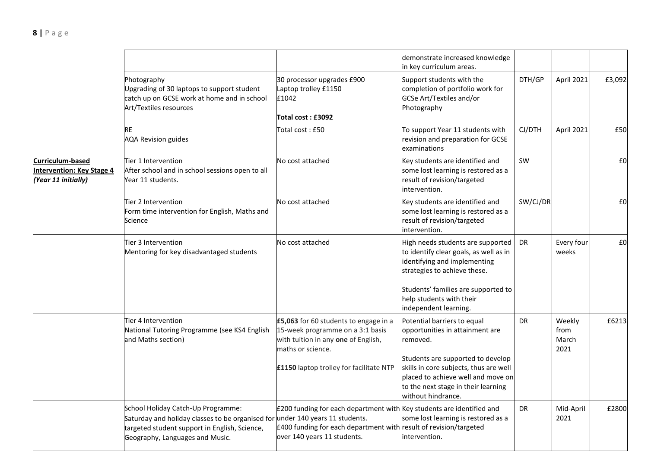|                                                                                                                                                                                                                                                                                                                                  |                                                                                                                                                                                                         |                                                                                                                                                                           | demonstrate increased knowledge<br>in key curriculum areas.                                                                               |                     |                                 |        |
|----------------------------------------------------------------------------------------------------------------------------------------------------------------------------------------------------------------------------------------------------------------------------------------------------------------------------------|---------------------------------------------------------------------------------------------------------------------------------------------------------------------------------------------------------|---------------------------------------------------------------------------------------------------------------------------------------------------------------------------|-------------------------------------------------------------------------------------------------------------------------------------------|---------------------|---------------------------------|--------|
|                                                                                                                                                                                                                                                                                                                                  | Photography<br>Upgrading of 30 laptops to support student<br>catch up on GCSE work at home and in school<br>Art/Textiles resources                                                                      | 30 processor upgrades £900<br>Laptop trolley £1150<br>£1042<br><b>Total cost : £3092</b>                                                                                  | Support students with the<br>completion of portfolio work for<br>GCSe Art/Textiles and/or<br>Photography                                  | DTH/GP              | April 2021                      | £3,092 |
|                                                                                                                                                                                                                                                                                                                                  | <b>RE</b><br><b>AQA Revision guides</b>                                                                                                                                                                 | Total cost: £50                                                                                                                                                           | To support Year 11 students with<br>revision and preparation for GCSE<br>examinations                                                     | CJ/DTH              | April 2021                      | £50    |
| Curriculum-based<br>Tier 1 Intervention<br><b>Intervention: Key Stage 4</b><br>After school and in school sessions open to all<br>(Year 11 initially)<br>Year 11 students.<br>Tier 2 Intervention<br>Form time intervention for English, Maths and<br>Science<br>Tier 3 Intervention<br>Mentoring for key disadvantaged students |                                                                                                                                                                                                         | No cost attached                                                                                                                                                          | Key students are identified and<br>some lost learning is restored as a<br>result of revision/targeted<br>intervention.                    | SW                  |                                 | £0     |
|                                                                                                                                                                                                                                                                                                                                  |                                                                                                                                                                                                         | No cost attached                                                                                                                                                          | Key students are identified and<br>some lost learning is restored as a<br>result of revision/targeted<br>intervention.                    | SW/CJ/DR            |                                 | £0     |
|                                                                                                                                                                                                                                                                                                                                  | No cost attached                                                                                                                                                                                        | High needs students are supported<br>to identify clear goals, as well as in<br>identifying and implementing<br>strategies to achieve these.                               | DR                                                                                                                                        | Every four<br>weeks | £0                              |        |
|                                                                                                                                                                                                                                                                                                                                  |                                                                                                                                                                                                         |                                                                                                                                                                           | Students' families are supported to<br>help students with their<br>independent learning.                                                  |                     |                                 |        |
|                                                                                                                                                                                                                                                                                                                                  | Tier 4 Intervention<br>National Tutoring Programme (see KS4 English<br>and Maths section)                                                                                                               | £5,063 for 60 students to engage in a<br>15-week programme on a 3:1 basis<br>with tuition in any one of English,<br>maths or science.                                     | Potential barriers to equal<br>opportunities in attainment are<br>removed.<br>Students are supported to develop                           | DR                  | Weekly<br>from<br>March<br>2021 | £6213  |
|                                                                                                                                                                                                                                                                                                                                  |                                                                                                                                                                                                         | £1150 laptop trolley for facilitate NTP                                                                                                                                   | skills in core subjects, thus are well<br>placed to achieve well and move on<br>to the next stage in their learning<br>without hindrance. |                     |                                 |        |
|                                                                                                                                                                                                                                                                                                                                  | School Holiday Catch-Up Programme:<br>Saturday and holiday classes to be organised for under 140 years 11 students.<br>targeted student support in English, Science,<br>Geography, Languages and Music. | £200 funding for each department with Key students are identified and<br>£400 funding for each department with result of revision/targeted<br>over 140 years 11 students. | some lost learning is restored as a<br>intervention.                                                                                      | <b>DR</b>           | Mid-April<br>2021               | £2800  |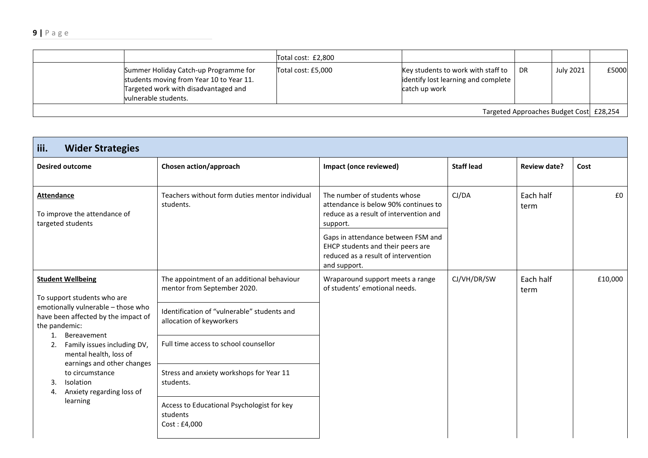|                                         |                                                                                                                                                   | Total cost: £2,800 |                                                                                            |           |                  |       |
|-----------------------------------------|---------------------------------------------------------------------------------------------------------------------------------------------------|--------------------|--------------------------------------------------------------------------------------------|-----------|------------------|-------|
|                                         | Summer Holiday Catch-up Programme for<br>students moving from Year 10 to Year 11.<br>Targeted work with disadvantaged and<br>vulnerable students. | Total cost: £5,000 | Key students to work with staff to<br>identify lost learning and complete<br>catch up work | <b>DR</b> | <b>July 2021</b> | £5000 |
| Targeted Approaches Budget Cost £28,254 |                                                                                                                                                   |                    |                                                                                            |           |                  |       |

| iii.<br><b>Wider Strategies</b>                                                                                                                                                                                                                                                                                                  |                                                                           |                                                                                                                                |                   |                     |         |  |  |  |
|----------------------------------------------------------------------------------------------------------------------------------------------------------------------------------------------------------------------------------------------------------------------------------------------------------------------------------|---------------------------------------------------------------------------|--------------------------------------------------------------------------------------------------------------------------------|-------------------|---------------------|---------|--|--|--|
| <b>Desired outcome</b>                                                                                                                                                                                                                                                                                                           | Chosen action/approach                                                    | Impact (once reviewed)                                                                                                         | <b>Staff lead</b> | <b>Review date?</b> | Cost    |  |  |  |
| <b>Attendance</b><br>To improve the attendance of<br>targeted students                                                                                                                                                                                                                                                           | Teachers without form duties mentor individual<br>students.               | The number of students whose<br>attendance is below 90% continues to<br>reduce as a result of intervention and<br>support.     | CJ/DA             | Each half<br>term   | £0      |  |  |  |
|                                                                                                                                                                                                                                                                                                                                  |                                                                           | Gaps in attendance between FSM and<br>EHCP students and their peers are<br>reduced as a result of intervention<br>and support. |                   |                     |         |  |  |  |
| <b>Student Wellbeing</b>                                                                                                                                                                                                                                                                                                         | The appointment of an additional behaviour<br>mentor from September 2020. | Wraparound support meets a range<br>of students' emotional needs.                                                              | CJ/VH/DR/SW       | Each half<br>term   | £10,000 |  |  |  |
| To support students who are<br>emotionally vulnerable - those who<br>have been affected by the impact of<br>the pandemic:<br>Bereavement<br>1.<br>Family issues including DV,<br>2.<br>mental health, loss of<br>earnings and other changes<br>to circumstance<br>Isolation<br>3.<br>Anxiety regarding loss of<br>4.<br>learning | Identification of "vulnerable" students and<br>allocation of keyworkers   |                                                                                                                                |                   |                     |         |  |  |  |
|                                                                                                                                                                                                                                                                                                                                  | Full time access to school counsellor                                     |                                                                                                                                |                   |                     |         |  |  |  |
|                                                                                                                                                                                                                                                                                                                                  | Stress and anxiety workshops for Year 11<br>students.                     |                                                                                                                                |                   |                     |         |  |  |  |
|                                                                                                                                                                                                                                                                                                                                  | Access to Educational Psychologist for key<br>students<br>Cost: £4,000    |                                                                                                                                |                   |                     |         |  |  |  |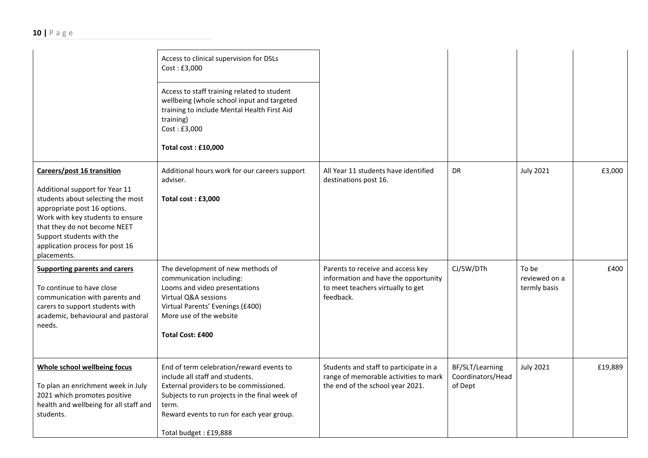|                                                                                                                                                                                                                                                                                      | Access to clinical supervision for DSLs<br>Cost: £3,000<br>Access to staff training related to student<br>wellbeing (whole school input and targeted<br>training to include Mental Health First Aid<br>training)<br>Cost: £3,000<br>Total cost: £10,000 |                                                                                                                             |                                                 |                                        |         |
|--------------------------------------------------------------------------------------------------------------------------------------------------------------------------------------------------------------------------------------------------------------------------------------|---------------------------------------------------------------------------------------------------------------------------------------------------------------------------------------------------------------------------------------------------------|-----------------------------------------------------------------------------------------------------------------------------|-------------------------------------------------|----------------------------------------|---------|
| Careers/post 16 transition<br>Additional support for Year 11<br>students about selecting the most<br>appropriate post 16 options.<br>Work with key students to ensure<br>that they do not become NEET<br>Support students with the<br>application process for post 16<br>placements. | Additional hours work for our careers support<br>adviser.<br>Total cost: £3,000                                                                                                                                                                         | All Year 11 students have identified<br>destinations post 16.                                                               | <b>DR</b>                                       | <b>July 2021</b>                       | £3,000  |
| <b>Supporting parents and carers</b><br>To continue to have close<br>communication with parents and<br>carers to support students with<br>academic, behavioural and pastoral<br>needs.                                                                                               | The development of new methods of<br>communication including:<br>Looms and video presentations<br>Virtual Q&A sessions<br>Virtual Parents' Evenings (£400)<br>More use of the website<br><b>Total Cost: £400</b>                                        | Parents to receive and access key<br>information and have the opportunity<br>to meet teachers virtually to get<br>feedback. | CJ/SW/DTh                                       | To be<br>reviewed on a<br>termly basis | £400    |
| Whole school wellbeing focus<br>To plan an enrichment week in July<br>2021 which promotes positive<br>health and wellbeing for all staff and<br>students.                                                                                                                            | End of term celebration/reward events to<br>include all staff and students.<br>External providers to be commissioned.<br>Subjects to run projects in the final week of<br>term.<br>Reward events to run for each year group.<br>Total budget: £19,888   | Students and staff to participate in a<br>range of memorable activities to mark<br>the end of the school year 2021.         | BF/SLT/Learning<br>Coordinators/Head<br>of Dept | <b>July 2021</b>                       | £19,889 |